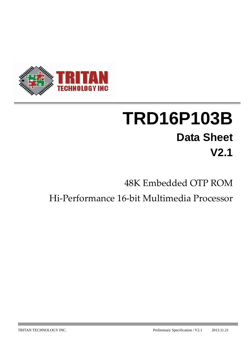

# **TRD16P103B Data Sheet V2.1**

## 48K Embedded OTP ROM

## Hi‐Performance 16‐bit Multimedia Processor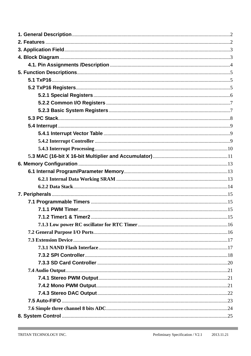**Contract Contract Contract Contract** 

and the control of the control of the control of the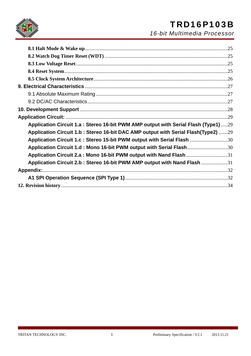

## TRD16P103B

*16-bit Multimedia Processor*

| Application Circuit 1.a : Stereo 16-bit PWM AMP output with Serial Flash (Type1) 29 |  |
|-------------------------------------------------------------------------------------|--|
| Application Circuit 1.b: Stereo 16-bit DAC AMP output with Serial Flash(Type2) 29   |  |
| Application Circuit 1.c : Stereo 15-bit PWM output with Serial Flash 30             |  |
| Application Circuit 1.d: Mono 16-bit PWM output with Serial Flash30                 |  |
| Application Circuit 2.a : Mono 16-bit PWM output with Nand Flash31                  |  |
| Application Circuit 2.b: Stereo 16-bit PWM AMP output with Nand Flash 31            |  |
|                                                                                     |  |
|                                                                                     |  |
|                                                                                     |  |
|                                                                                     |  |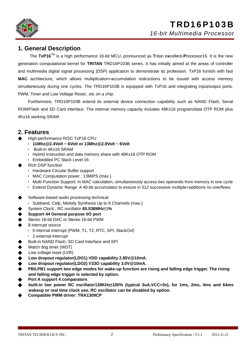

#### **1. General Description**

The **TxP16**TM is a high performance 16-bit MCU, pronounced as **T**ritan e**x**cellent-**P**rocessor16. It is the new generation computational kernel for **TRITAN** TRD16P103B series. It has initially aimed at the areas of controller and multimedia digital signal processing (DSP) application to demonstrate its profession. TxP16 furnish with fast **MAC** architecture, which allows multiplication+accumulation instructions to be issued with access memory simultaneously during one cycles. The TRD16P103B is equipped with TxP16 and integrating input/output ports, PWM, Timer and Low Voltage Reset...etc on a chip.

Furthermore, TRD16P103B extend its external device connection capability such as NAND Flash, Serial ROM/Flash and SD Card interface. The internal memory capacity includes 48Kx16 program/data OTP ROM plus 4Kx16 working SRAM.

#### **2. Features**

- **High-performance RISC TxP16 CPU** 
	- ‧ **11Mhz@2.4Volt ~ 6Volt or 13Mhz@2.9Volt ~ 6Volt**
	- Built-in 4Kx16 SRAM
	- ‧ Hybrid Instruction and data memory share with 48Kx16 OTP ROM
	- ‧ Embedded PC Stack Level 16
- **Rich DSP function** 
	- ‧ Hardware Circular Buffer support
	- ‧ MAC Computation power : 13MIPS (max.)
	- ‧ Multi-Function Support: In MAC calculation, simultaneously access two operands from memory in one cycle
	- ‧ Extend Dynamic Range: A 40-bit accumulator to ensure in 512 successive multiple+additions no overflows
- Software-based audio processing technical
	- ‧ Subband, Celp, Melody Synthesis Up to 8 Channels (max.)
- ◆ System Clock : RC oscillator **65.536MHz**±3**%**
- **Support 44 General purpose I/O port**
- Stereo 16-bit DAC or Stereo 16-bit PWM
- 8 interrupt source
	- ‧ 6 internal interrupt (PWM, T1, T2, RTC, SPI, StackOvl)
	- ‧ 2 external interrupt
- Built-in NAND Flash, SD Card Interface and SPI
- Watch dog timer (WDT)
- Low voltage reset (LVR)
- Low dropout regulator(LDO1) VDD capability 2.85V@10mA.
- Low dropout regulator(LDO2) V33O capability 3.0V@10mA.
- **PB0,PB1 support two edge modes for wake-up function are rising and falling edge trigger. The rising and falling edge trigger is selected by option.**
- **Port A support 4 comparators**
- ◆ **built-in low power RC oscillator128KHz**±**100% (typical 3uA,VCC=3v), for 1ms, 2ms, 4ms and 64ms wakeup or real time clock use. RC oscillator can be disabled by option.**
- ◆ **Compatible PWM driver: TRA1309CP**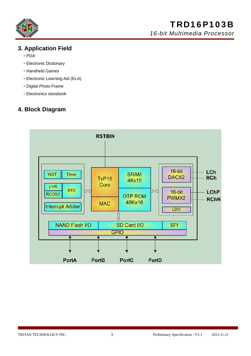

### **3. Application Field**

- ‧PDA
- ‧Electronic Dictionary
- ‧Handheld Games
- ‧Electronic Learning Aid (ELA)
- ‧Digital Photo Frame
- ‧Electronics storybook

### **4. Block Diagram**

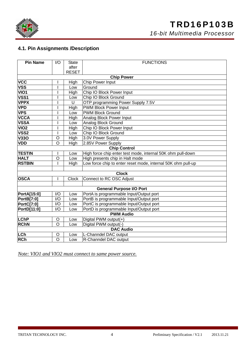

## TRD16P103B

*16-bit Multimedia Processor*

#### **4.1. Pin Assignments /Description**

| <b>Pin Name</b>   | I/O                 | <b>State</b> | <b>FUNCTIONS</b>                                             |  |  |  |  |  |  |  |  |  |  |
|-------------------|---------------------|--------------|--------------------------------------------------------------|--|--|--|--|--|--|--|--|--|--|
|                   |                     | after        |                                                              |  |  |  |  |  |  |  |  |  |  |
|                   |                     | <b>RESET</b> |                                                              |  |  |  |  |  |  |  |  |  |  |
|                   |                     |              | <b>Chip Power</b>                                            |  |  |  |  |  |  |  |  |  |  |
| <b>VCC</b>        |                     | High         | Chip Power Input                                             |  |  |  |  |  |  |  |  |  |  |
| <b>VSS</b>        |                     | Low          | Ground                                                       |  |  |  |  |  |  |  |  |  |  |
| VIO1              |                     | High         | Chip IO Block Power Input                                    |  |  |  |  |  |  |  |  |  |  |
| VSS1              |                     | Low          | Chip IO Block Ground                                         |  |  |  |  |  |  |  |  |  |  |
| <b>VPPX</b>       |                     | U            | OTP programming Power Supply 7.5V                            |  |  |  |  |  |  |  |  |  |  |
| <b>VPD</b>        |                     | High         | PWM Block Power Input                                        |  |  |  |  |  |  |  |  |  |  |
| <b>VPS</b>        |                     | Low          | <b>PWM Block Ground</b>                                      |  |  |  |  |  |  |  |  |  |  |
| <b>VCCA</b>       |                     | High         | Analog Block Power Input                                     |  |  |  |  |  |  |  |  |  |  |
| <b>VSSA</b>       |                     | Low          | Analog Block Ground                                          |  |  |  |  |  |  |  |  |  |  |
| VIO <sub>2</sub>  |                     | High         | Chip IO Block Power Input                                    |  |  |  |  |  |  |  |  |  |  |
| VSS2              |                     | Low          | Chip IO Block Ground                                         |  |  |  |  |  |  |  |  |  |  |
| <b>V330</b>       | O                   | High         | 3.0V Power Supply                                            |  |  |  |  |  |  |  |  |  |  |
| <b>VDD</b>        | O                   | High         | 2.85V Power Supply                                           |  |  |  |  |  |  |  |  |  |  |
|                   | <b>Chip Control</b> |              |                                                              |  |  |  |  |  |  |  |  |  |  |
| <b>TESTIN</b>     |                     | Low          | High force chip enter test mode, internal 50K ohm pull-down  |  |  |  |  |  |  |  |  |  |  |
| <b>HALT</b>       | O                   | Low          | High presents chip in Halt mode                              |  |  |  |  |  |  |  |  |  |  |
| <b>RSTBIN</b>     |                     | High         | Low force chip to enter reset mode, internal 50K ohm pull-up |  |  |  |  |  |  |  |  |  |  |
|                   |                     |              |                                                              |  |  |  |  |  |  |  |  |  |  |
|                   |                     |              | <b>Clock</b>                                                 |  |  |  |  |  |  |  |  |  |  |
| <b>OSCA</b>       |                     | Clock        | Connect to RC OSC Adjust                                     |  |  |  |  |  |  |  |  |  |  |
|                   |                     |              |                                                              |  |  |  |  |  |  |  |  |  |  |
|                   |                     |              | <b>General Purpose I/O Port</b>                              |  |  |  |  |  |  |  |  |  |  |
| PortA[15:0]       | I/O                 | Low          | PortA is programmable Input/Output port                      |  |  |  |  |  |  |  |  |  |  |
| <b>PortB[7:0]</b> | I/O                 | Low          | PortB is programmable Input/Output port                      |  |  |  |  |  |  |  |  |  |  |
| <b>PortC[7:0]</b> | I/O                 | Low          | PortC is programmable Input/Output port                      |  |  |  |  |  |  |  |  |  |  |
| PortD[11:0]       | I/O                 | Low          | PortD is programmable Input/Output port                      |  |  |  |  |  |  |  |  |  |  |
|                   |                     |              | <b>PWM Audio</b>                                             |  |  |  |  |  |  |  |  |  |  |
| <b>LChP</b>       | O                   | Low          | Digital PWM output(+)                                        |  |  |  |  |  |  |  |  |  |  |
| <b>RChN</b>       | $\circ$             | Low          | Digital PWM output(-)                                        |  |  |  |  |  |  |  |  |  |  |
|                   |                     |              | <b>DAC Audio</b>                                             |  |  |  |  |  |  |  |  |  |  |
| LCh               | O                   | Low          | L-Channdel DAC output                                        |  |  |  |  |  |  |  |  |  |  |
| <b>RCh</b>        | $\circ$             | Low          | R-Channdel DAC output                                        |  |  |  |  |  |  |  |  |  |  |

*Note: VIO1 and VIO2 must connect to same power source.*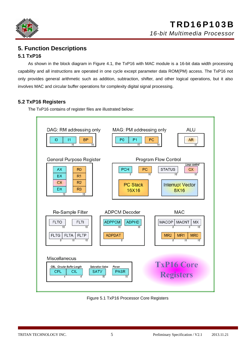

## **5. Function Descriptions**

#### **5.1 TxP16**

As shown in the block diagram in Figure 4.1, the TxP16 with MAC module is a 16-bit data width processing capability and all instructions are operated in one cycle except parameter data ROM(PM) access. The TxP16 not only provides general arithmetic such as addition, subtraction, shifter, and other logical operations, but it also involves MAC and circular buffer operations for complexity digital signal processing.

#### **5.2 TxP16 Registers**

The TxP16 contains of register files are illustrated below:



Figure 5.1 TxP16 Processor Core Registers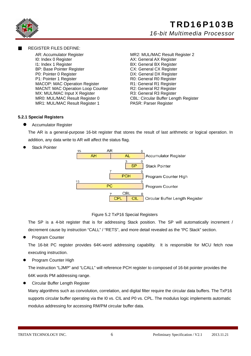



#### **REGISTER FILES DEFINE:**

AR: Accumulator Register MR2: MUL/MAC Result Register 2 I0: Index 0 Register **AX: General AX Register** I1: Index 1 Register **BX: General BX Register** BP: Base Pointer Register CX: General CX Register P0: Pointer 0 Register **DX: General DX Register** P1: Pointer 1 Register **P1: Pointer 1 Register** MACOP: MAC Operation Register **R1: General R1 Register**<br>MACNT: MAC Operation Loop Counter R2: General R2 Register MACNT: MAC Operation Loop Counter MX: MUL/MAC Input X Register R3: General R3 Register MR0: MUL/MAC Result Register 0 CBL: Circular Buffer Length Register MR1: MUL/MAC Result Register 1 PASR: Parser Register

#### **5.2.1 Special Registers**

Accumulator Register

The AR is a general-purpose 16-bit register that stores the result of last arithmetic or logical operation. In addition, any data write to AR will affect the status flag.





#### Figure 5.2 TxP16 Special Registers

The SP is a 4-bit register that is for addressing Stack position. The SP will automatically increment / decrement cause by instruction "CALL" / "RETS", and more detail revealed as the "PC Stack" section.

Program Counter

The 16-bit PC register provides 64K-word addressing capability. It is responsible for MCU fetch now executing instruction.

Program Counter High

The instruction "LJMP" and "LCALL" will reference PCH register to composed of 16-bit pointer provides the 64K words PM addressing range.

**Circular Buffer Length Register** 

Many algorithms such as convolution, correlation, and digital filter require the circular data buffers. The TxP16 supports circular buffer operating via the I0 vs. CIL and P0 vs. CPL. The modulus logic implements automatic modulus addressing for accessing RM/PM circular buffer data.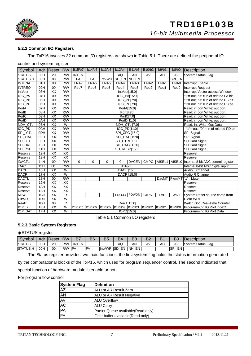

#### **5.2.2 Common I/O Registers**

The TxP16 involves 32 common I/O registers are shown in Table 5.1. There are defined the peripheral IO

control and system register.

| Symbol         |                 | Adr   Reset     | <b>RW</b>       | B15/b7        | b14/b6           | b13/b5           | b12/b4           | B11/b3                      | B10/b2           | b9/b1      | b8/b0         | Description                          |  |  |
|----------------|-----------------|-----------------|-----------------|---------------|------------------|------------------|------------------|-----------------------------|------------------|------------|---------------|--------------------------------------|--|--|
| STATUS.L       | 00H             | 20              | R/W             | <b>INTEN</b>  |                  |                  | AQ               | AN<br>NH_EN                 | AV               | <b>AC</b>  | AZ<br>SPI_EN  | <b>System Status Flag</b>            |  |  |
| STATUS.H       | 00H             | $\overline{00}$ | R/W             | PA            | FA               | <b>IntVWR</b>    |                  |                             |                  |            |               |                                      |  |  |
| <b>INTENA</b>  | 01H             | 00              | R/W             | ENA7          | ENA6             | ENA <sub>5</sub> | ENA4             | ENA3                        | ENA <sub>2</sub> | ENA1       | ENA0          | Interrupt Enable                     |  |  |
| <b>INTREQ</b>  | 02H             | 00              | R/W             | Reg7          | Reg <sub>6</sub> | Reg5             | Reg4             | Req3                        | Req2             | Req1       | Reg0          | <b>Interrupt Request</b>             |  |  |
| <b>IntVect</b> | 03H             | XX              | R/W             |               |                  |                  |                  | IntVect[15:0]               |                  |            |               | Interrupt Vector access Window       |  |  |
| IOC_PA         | 04H             | 00              | R/W             |               |                  |                  |                  | IOC PA[15:0]                |                  |            |               | "1"= out, "0" = in of related PA bit |  |  |
| <b>IOC_PB</b>  | 05H             | 00              | R/W             |               |                  |                  |                  | IOC_PB[7:0]                 |                  |            |               | "1"= out, "0" = in of related PB bit |  |  |
| <b>IOC_PC</b>  | 06H             | $\overline{00}$ | R/W             |               |                  |                  |                  | IOC_PC[7:0]                 |                  |            |               | "1"= out, "0" = in of related PC bit |  |  |
| PortA          | 07H             | XX              | R/W             |               |                  |                  |                  | PortA[15:0]                 |                  |            |               | Read: in port Write: out port        |  |  |
| PortB          | 08H             | XX              | R/W             |               |                  |                  |                  | PortB[70]                   |                  |            |               | Read: in port Write: out port        |  |  |
| PortC          | 09H             | XX              | R/W             |               |                  |                  |                  | PortC[7:0]                  |                  |            |               | Read: in port Write: out port        |  |  |
| PortD          | OAH             | $\overline{XX}$ | R/W             |               |                  |                  |                  | PortD[11:0]                 |                  |            |               | Read: in port Write: out port        |  |  |
| NDH CTL        | 0 <sub>BH</sub> | XX              | W               |               |                  |                  | NDH_CTL [7:0]    |                             |                  |            |               | Read: In, Write: Out Data            |  |  |
| IOC_PD         | 0CH             | XX              | R/W             |               |                  |                  |                  | IOC PD[11:0]                |                  |            |               | "1"= out, "0" = in of related PD bit |  |  |
| SPI_CTL        | 0DH             | XX              | R/W             |               |                  |                  |                  | SPI_CFG [15:0]              |                  |            |               | SPI Signal                           |  |  |
| SPI_DAT        | 0EH             | $\overline{XX}$ | R/W             |               |                  |                  |                  | SPI_DAT [15:0]              |                  |            |               | SPI Signal                           |  |  |
| SD_CTL         | 0FH             | XX              | R/W             |               |                  |                  |                  | SD_CTRL[15:0]               |                  |            |               | SD Card Signal                       |  |  |
| SD_DAT         | 10H             | $\overline{XX}$ | R/W             |               |                  |                  |                  | SD_DATA[15:0]               |                  |            |               | SD Card Signal                       |  |  |
| SD_RSP         | 11H             | XX              | R/W             |               |                  |                  |                  | SD RESP[15:0]               |                  |            |               | SD Card Signal                       |  |  |
| Reserve        | 12H             | $\overline{XX}$ | $\overline{XX}$ |               |                  |                  |                  |                             |                  |            |               | Reserve                              |  |  |
| Reserve        | 13H             | XX              | XX              |               |                  |                  |                  |                             |                  |            |               | Reserve                              |  |  |
| <b>iDACTL</b>  | 14H             | 00              | R/W             | $\Omega$      | $\Omega$         | 0                | $\Omega$         | <b>DACEN</b>                | <b>CMPO</b>      |            | AISEL1 AISEL0 | Internal 8-bit ADC control register  |  |  |
| <b>iDAC</b>    | 15H             | 00              | R/W             |               |                  |                  |                  | iDA[7:0]                    |                  |            |               | Internal 8-bit ADC digital input     |  |  |
| <b>DACL</b>    | 16H             | XX              | W               |               |                  |                  |                  | DACL [15:0]                 |                  |            |               | Audio L Channel                      |  |  |
| <b>DACR</b>    | 17H             | $\overline{XX}$ | W               |               |                  |                  |                  | DACR [15:0]                 |                  |            |               | Audio R Channel                      |  |  |
| <b>DACTL</b>   | 18H             | 00              | R/W             |               |                  |                  |                  |                             |                  |            | DacMT PwmMT   | " $1"$ = Mute                        |  |  |
| Reserve        | 19H             | XX              | XX              |               |                  |                  |                  |                             |                  |            |               | Reserve                              |  |  |
| Reserve        | 1AH             | XX              | XX              |               |                  |                  |                  |                             |                  |            |               | Reserve                              |  |  |
| Reserve        | 1BH             | $\overline{XX}$ | XX              |               |                  |                  | Reserve          |                             |                  |            |               |                                      |  |  |
| <b>MISC</b>    | 1CH             | XX              | R               |               |                  |                  | LDO33            | POWON                       | <b>EXRST</b>     | <b>LVR</b> | <b>WDT</b>    | System Reset source come from        |  |  |
| <b>CIrWDT</b>  | 1DH             | XX              | W               |               |                  |                  | <b>Clear WDT</b> |                             |                  |            |               |                                      |  |  |
| RealT          | 1DH             | 00              | $\overline{R}$  |               |                  |                  |                  | Watch Dog Real-Time Counter |                  |            |               |                                      |  |  |
| IOP_IX         | 1EH             | $\overline{XX}$ | W               | <b>IOPIX7</b> | IOPIX6           | IOPIX5           | IOPIX4           | IOPIX <sub>3</sub>          | IOPIX2           | IOPIX1     | <b>IOPIX0</b> | Programming IO Port index/           |  |  |
| <b>IOP_DAT</b> | 1FH             | $\overline{XX}$ | $\overline{W}$  |               |                  |                  |                  | IOPD[15:0]                  |                  |            |               | Programming IO Port Data             |  |  |

Table 5.1 Common I/O registers

#### **5.2.3 Basic System Registers**

#### ◆STATUS register

| Symbol          | Adr        | IResetl | <b>RW</b> | B.         | B <sub>6</sub> | B5            | B4               | cם<br>DJ          | B2 | D <sub>4</sub> | B <sub>0</sub> | <b>IDescription</b> |
|-----------------|------------|---------|-----------|------------|----------------|---------------|------------------|-------------------|----|----------------|----------------|---------------------|
| STATUS.L        | <b>HOC</b> | 20      | R/W       | INTEN      |                |               | ΑQ               | AN                | AV | АC             | AZ             | System Status Flag  |
| <b>STATUS.H</b> | 00H        | 00      | R/W       | <b>IPA</b> | <b>FA</b>      | <b>IntVWR</b> | EN<br><b>ISD</b> | EN I<br><b>NH</b> |    |                | SPI EN         |                     |

The Status register provides two main functions, the first system flag holds the status information generated

by the computational blocks of the TxP16, which used for program sequencer control. The second indicated that

special function of hardware module is enable or not.

For program flow control:

| <b>System Flag</b> | Definition                          |
|--------------------|-------------------------------------|
| <b>AZ</b>          | ALU or AR Result Zero               |
| AN                 | ALU or AR Result Negative           |
|                    | <b>ALU Overflow</b>                 |
| AV<br>AC<br>PA     | <b>ALU Carry</b>                    |
|                    | Parser Queue available (Read only)  |
| <b>IFA</b>         | Filter buffer available (Read only) |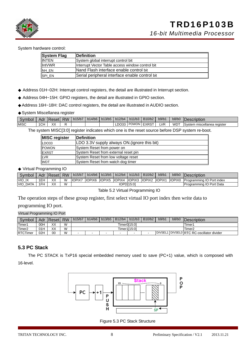

System hardware control:

| <b>System Flag</b> | <b>IDefinition</b>                               |
|--------------------|--------------------------------------------------|
| <b>INTEN</b>       | System global interrupt control bit              |
| <b>IntVWR</b>      | Interrupt Vector Table access window control bit |
| NH EN              | Nand Flash interface enable control bit          |
| SPI EN             | Serial peripheral interface enable control bit   |

◆ Address 01H~02H: Interrupt control registers, the detail are illustrated in Interrupt section.

◆ Address 04H~15H: GPIO registers, the detail are illustrated in GPIO section.

◆Address 16H~18H: DAC control registers, the detail are illustrated in AUDIO section.

◆System Miscellanea register

| Svmbol | Adr | Reset | <b>RW</b> | 1 <sub>b15/b7</sub> | b14/b6 | $\bigcup$ b13/b5   b12/b4 |        | $b11/b3$   B10/b2 | b9/b1      | b8/b0      | <b>IDescription</b>         |
|--------|-----|-------|-----------|---------------------|--------|---------------------------|--------|-------------------|------------|------------|-----------------------------|
| MISC   | 1CH | XX    |           |                     |        |                           | LDO33' | POWON EXRST       | <b>LVR</b> | <b>WDT</b> | System miscellanea register |

The system MISC[3:0] register indicates which one is the reset source before DSP system re-boot.

| <b>MISC register</b> | <b>IDefinition</b>                           |
|----------------------|----------------------------------------------|
| LDO33                | LDO 3.3V supply always ON. (ignore this bit) |
| <b>POWON</b>         | System Reset from power on                   |
| EXRST                | System Reset from external reset pin         |
| LVR                  | System Reset from low voltage reset          |
| <b>WDT</b>           | System Reset from watch dog timer            |

◆ Virtual Programming IO

| Symbol             |     | Adr   Reset   RW |   | b15/b7        |               | $b14/b6$   $b13/b5$ | b12/b4                   | b11/b3 | B10/b2  | b9/b1         | b8/b0         | Description               |
|--------------------|-----|------------------|---|---------------|---------------|---------------------|--------------------------|--------|---------|---------------|---------------|---------------------------|
| VIO IX             | 1EH | XX               | W | <b>IOPIX7</b> | <b>IOPIX6</b> | IOPIX5              | IOPIX4 IOPIX3            |        | lIOPIX2 | <b>IOPIX1</b> | <b>IOPIXO</b> | Programming IO Port index |
| <b>VIO</b><br>DATA | 1FH | ХX               | W |               |               |                     | Programming IO Port Data |        |         |               |               |                           |

Table 5.2 Virtual Programming IO

The operation steps of these group register, first select virtual IO port index then write data to

programming IO port.

Virtual Programming IO Port

| Symbol             | Adr | Reset RW |   | b15/b7   b14/b6   b13/b5   B12/b4                               |  |  |        | b11/b3 | B <sub>10</sub> /b <sub>2</sub> | b9/b1 | b8/b0 | <b>IDescription</b>                 |
|--------------------|-----|----------|---|-----------------------------------------------------------------|--|--|--------|--------|---------------------------------|-------|-------|-------------------------------------|
| Timer1             | 00H | XX       | W |                                                                 |  |  | Timer1 |        |                                 |       |       |                                     |
| Timer <sub>2</sub> | 01H | XX       | W |                                                                 |  |  |        | Timer2 |                                 |       |       |                                     |
| <b>RTCTimer</b>    | 02H | 00       | W | <b>DIVSEL1</b><br>$\,$<br>-<br>$\overline{\phantom{a}}$<br>$\,$ |  |  |        |        |                                 |       |       | 1 DIVSEL0 RTC RC-oscillator divider |

#### **5.3 PC Stack**

The PC STACK is TxP16 special embedded memory used to save (PC+1) value, which is composed with 16-level.



Figure 5.3 PC Stack Structure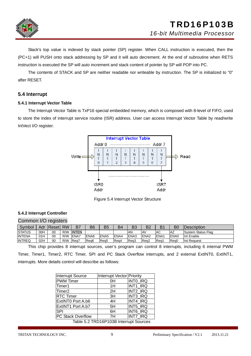

Stack's top value is indexed by stack pointer (SP) register. When CALL instruction is executed, then the (PC+1) will PUSH onto stack addressing by SP and it will auto decrement. At the end of subroutine when RETS instruction is executed the SP will auto increment and stack content of pointer by SP will POP into PC.

The contents of STACK and SP are neither readable nor writeable by instruction. The SP is initialized to "0" after RESET.

#### **5.4 Interrupt**

#### **5.4.1 Interrupt Vector Table**

The Interrupt Vector Table is TxP16 special embedded memory, which is composed with 8-level of FIFO, used to store the index of interrupt service routine (ISR) address. User can access Interrupt Vector Table by read/write IntVect I/O register.



Figure 5.4 Interrupt Vector Structure

#### **5.4.2 Interrupt Controller**

|               | Common I/O registers |                  |     |              |                  |                  |              |                |                  |                |                |                     |  |  |  |
|---------------|----------------------|------------------|-----|--------------|------------------|------------------|--------------|----------------|------------------|----------------|----------------|---------------------|--|--|--|
| Symbol        |                      | Adr   Reset   RW |     | B7           | B6               | <b>B5</b>        | B4           | B <sub>3</sub> | B2               | B <sub>1</sub> | B <sub>0</sub> | <b>IDescription</b> |  |  |  |
| <b>STATUS</b> | 00H                  | 00               | R/W | <b>INTEN</b> |                  |                  |              | AN             | <b>AV</b>        | AC             | AZ             | System Status Flag  |  |  |  |
| <b>INTENA</b> | 01H                  | 00               | R/W | ENA7         | ENA <sub>6</sub> | ENA <sub>5</sub> | <b>IENA4</b> | ENA3           | <b>IENA2</b>     | <b>ENA1</b>    | ENA0           | Int Enable          |  |  |  |
| <b>INTREQ</b> | 02H                  | 00               | R/W | Rea7         | Rea <sub>6</sub> | Rea <sub>5</sub> | Req4         | Rea3           | Rea <sub>2</sub> | Rea1           | Reg0           | <b>Int Request</b>  |  |  |  |

This chip provides 8 interrupt sources, user's program can control 8 interrupts, including 6 internal PWM Timer, Timer1, Timer2, RTC Timer, SPI and PC Stack Overflow interrupts, and 2 external ExtINT0, ExtINT1, interrupts. More details control will describe as follows:

| <b>Interrupt Source</b>                | <b>Interrupt Vector Priority</b> |                 |  |  |  |  |  |  |  |
|----------------------------------------|----------------------------------|-----------------|--|--|--|--|--|--|--|
| <b>PWM</b> Timer                       | 0H                               | INTO IRQ        |  |  |  |  |  |  |  |
| Timer1                                 | 1H                               | INT1 IRQ        |  |  |  |  |  |  |  |
| Timer <sub>2</sub>                     | 2H                               | <b>INT2 IRQ</b> |  |  |  |  |  |  |  |
| <b>RTC Timer</b>                       | 3H                               | <b>INT3 IRQ</b> |  |  |  |  |  |  |  |
| ExtlNT0 Port A.b6                      | 4H                               | INT4 IRQ        |  |  |  |  |  |  |  |
| ExtINT1 Port A.b7                      | 5H                               | <b>INT5 IRQ</b> |  |  |  |  |  |  |  |
| <b>SPI</b>                             | 6H                               | <b>INT6 IRQ</b> |  |  |  |  |  |  |  |
| PC Stack Overflow                      | 7H                               | <b>INT7 IRQ</b> |  |  |  |  |  |  |  |
| Table 5.2 TRD16P103B Interrupt Sources |                                  |                 |  |  |  |  |  |  |  |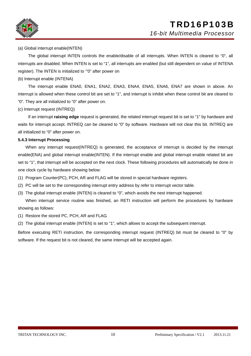



#### (a) Global interrupt enable(INTEN)

The global interrupt INTEN controls the enable/disable of all interrupts. When INTEN is cleared to "0", all interrupts are disabled. When INTEN is set to "1", all interrupts are enabled (but still dependent on value of INTENA register). The INTEN is initialized to '"0" after power on

#### (b) Interrupt enable (INTENA)

The interrupt enable ENA0, ENA1, ENA2, ENA3, ENA4, ENA5, ENA6, ENA7 are shown in above. An interrupt is allowed when these control bit are set to "1", and interrupt is inhibit when these control bit are cleared to "0". They are all initialized to "0" after power on.

#### (c) Interrupt request (INTREQ)

If an interrupt **raising edge** request is generated, the related interrupt request bit is set to "1" by hardware and waits for interrupt accept. INTREQ can be cleared to "0" by software. Hardware will not clear this bit. INTREQ are all initialized to "0" after power on.

#### **5.4.3 Interrupt Processing**

When any interrupt request(INTREQ) is generated, the acceptance of interrupt is decided by the interrupt enable(ENA) and global interrupt enable(INTEN). If the interrupt enable and global interrupt enable related bit are set to "1", that interrupt will be accepted on the next clock. These following procedures will automatically be done in one clock cycle by hardware showing below:

- (1) Program Counter(PC), PCH, AR and FLAG will be stored in special hardware registers.
- (2) PC will be set to the corresponding interrupt entry address by refer to interrupt vector table.
- (3) The global interrupt enable (INTEN) is cleared to "0", which avoids the nest interrupt happened.

When interrupt service routine was finished, an RETI instruction will perform the procedures by hardware showing as follows:

- (1) Restore the stored PC, PCH, AR and FLAG.
- (2) The global interrupt enable (INTEN) is set to "1", which allows to accept the subsequent interrupt.

Before executing RETI instruction, the corresponding interrupt request (INTREQ) bit must be cleared to "0" by software. If the request bit is not cleared, the same interrupt will be accepted again.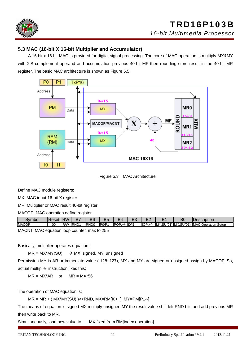

#### 5**.3 MAC (16-bit X 16-bit Multiplier and Accumulator)**

A 16 bit x 16 bit MAC is provided for digital signal processing. The core of MAC operation is multiply MX&MY with 2'S complement operand and accumulation previous 40-bit MF then rounding store result in the 40-bit MR register. The basic MAC architecture is shown as Figure 5.5.



Figure 5.3 MAC Architecture

Define MAC module registers:

MX: MAC input 16-bit X register

MR: Multiplier or MAC result 40-bit register

MACOP: MAC operation define register

| vmbol        | .eset | <b>RW</b> | D.               | B6               | DI    | D4       | n,    |          | D<br>D    | B0                | )escription                             |
|--------------|-------|-----------|------------------|------------------|-------|----------|-------|----------|-----------|-------------------|-----------------------------------------|
| <b>MACOP</b> | 00    | R/W       | RND <sub>1</sub> | RND <sub>0</sub> | PO/P1 | $POP:+/$ | 10/11 | $IOP:+/$ | MY:SU(01) | <b>IMX:SU(01)</b> | <b>MAC</b><br>$\sim$<br>Operation Setup |

MACNT: MAC equation loop counter, max to 255

Basically, multiplier operates equation:

 $MR = MX^*MY(SU)$   $\rightarrow$  MX: signed, MY: unsigned

Permission MY is AR or immediate value (-128~127), MX and MY are signed or unsigned assign by MACOP. So, actual multiplier instruction likes this:

 $MR = MX^*AR$  or  $MR = MX^*56$ 

The operation of MAC equation is:

 $MR = MR + (MX^*MY(SU)) \ll RND$ ,  $MX=RMI[0++]$ ,  $MY=PM[P1--]$ 

The means of equation is signed MX multiply unsigned MY the result value shift left RND bits and add previous MR then write back to MR.

Simultaneously, load new value to MX fixed from RM[index operation]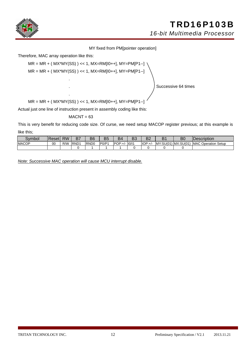

MY fixed from PM[pointer operation]

Therefore, MAC array operation like this:

.

.

 $MR = MR + (MX*MY(SS)) \ll 1, MX=RM[10++], MY=PM[1--]$ 

 $MR = MR + (MX^*MY(SS)) << 1, MX=RM[10++], MY=PM[11--]$ 

. Successive 64 times

 $MR = MR + (MX^*MY(SS)) \ll 1, MX=RM[10++], MY=PM[11--]$ 

Actual just one line of instruction present in assembly coding like this:

 $MACNT = 63$ 

This is very benefit for reducing code size. Of curse, we need setup MACOP register previous; at this example is like this;

| Symbol       | <b>IResetI</b> | <b>RW</b> | R7<br>- '   | B <sub>6</sub>   | B <sub>5</sub> | B4       | ∩פ<br>DJ | n o<br>◡ | D.<br>◡ | BC                      | <b>Description</b>         |
|--------------|----------------|-----------|-------------|------------------|----------------|----------|----------|----------|---------|-------------------------|----------------------------|
| <b>MACOP</b> | 00             | R/W       | <b>RND1</b> | RND <sub>0</sub> | PO/P1          | $POP:+/$ | 10/11    | $IOP:+/$ |         | $MY:SU(01)$ $MX:SU(01)$ | <b>MAC Operation Setup</b> |
|              |                |           |             |                  |                |          |          |          |         |                         |                            |

*Note: Successive MAC operation will cause MCU interrupt disable.*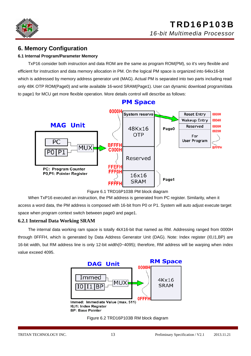

#### **6. Memory Configuration**

#### **6.1 Internal Program/Parameter Memory**

TxP16 consider both instruction and data ROM are the same as program ROM(PM), so it's very flexible and efficient for instruction and data memory allocation in PM. On the logical PM space is organized into 64kx16-bit which is addressed by memory address generator unit (MAG). Actual PM is separated into two parts including read only 48K OTP ROM(Page0) and write available 16-word SRAM(Page1). User can dynamic download program/data to page1 for MCU get more flexible operation. More details control will describe as follows:



Figure 6.1 TRD16P103B PM block diagram

When TxP16 executed an instruction, the PM address is generated from PC register. Similarity, when it access a word data, the PM address is composed with 16-bit from P0 or P1. System will auto adjust execute target space when program context switch between page0 and page1.

#### **6.2.1 Internal Data Working SRAM**

The internal data working ram space is totally 4kX16-bit that named as RM. Addressing ranged from 0000H through 0FFFH, which is generated by Data Address Generator Unit (DAG). Note: Index register (I0,I1,BP) are 16-bit width, but RM address line is only 12-bit width(0~4095); therefore, RM address will be warping when index value exceed 4095.



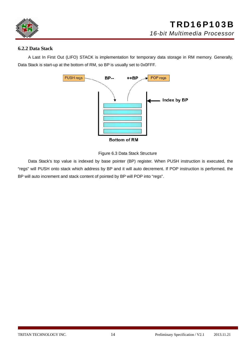

#### **6.2.2 Data Stack**

A Last In First Out (LIFO) STACK is implementation for temporary data storage in RM memory. Generally, Data Stack is start-up at the bottom of RM, so BP is usually set to 0x0FFF.





Data Stack's top value is indexed by base pointer (BP) register. When PUSH instruction is executed, the "regs" will PUSH onto stack which address by BP and it will auto decrement. If POP instruction is performed, the BP will auto increment and stack content of pointed by BP will POP into "regs".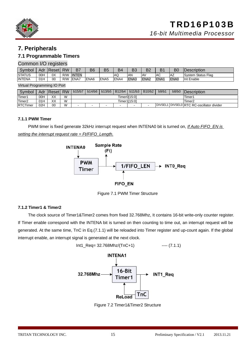

#### **7. Peripherals**

#### **7.1 Programmable Timers**

#### Common I/O registers

| Svmbol         | Adr | Reset | <b>RW</b> | B7           | B6               | B <sub>5</sub>   | B4           | Do<br>ьs    | מם<br>DZ         | ו ס  | B <sub>0</sub> | <b>IDescription</b>   |
|----------------|-----|-------|-----------|--------------|------------------|------------------|--------------|-------------|------------------|------|----------------|-----------------------|
| <b>ISTATUS</b> | 00H | 0X    | R/W       | <b>INTEN</b> |                  |                  | ΙAΩ          | <b>AN</b>   | IA۷              | AC   | ΑZ             | Status Flag<br>Svstem |
| <b>INTENA</b>  | 01H | 00    | R/W       | ENA7         | ENA <sub>6</sub> | ENA <sub>5</sub> | <b>IENA4</b> | <b>ENA3</b> | ENA <sub>2</sub> | ENA1 | ENA0           | Int Enable            |

Virtual Programming IO Port

| Symbol             | Adr | <b>Reset</b> | <b>RW</b> | b15/b7                                                                       | b14/b6 | b13/b5 | B12/b4             | b11/b3 | B10/b2 | b9/b1 | b8/b0                                     | <b>IDescription</b> |
|--------------------|-----|--------------|-----------|------------------------------------------------------------------------------|--------|--------|--------------------|--------|--------|-------|-------------------------------------------|---------------------|
| Timer1             | 00H | XX           | W         |                                                                              |        |        | Timer1             |        |        |       |                                           |                     |
| Timer <sub>2</sub> | 01H | XX           | W         |                                                                              |        |        | Timer <sub>2</sub> |        |        |       |                                           |                     |
| <b>RTCTimer</b>    | 02H | 00           | W         | <b>.</b><br>$\overline{\phantom{0}}$<br>$\overline{\phantom{0}}$<br>. .<br>- |        |        |                    |        |        |       | DIVSEL1 DIVSEL0 RTC RC-oscillator divider |                     |

#### **7.1.1 PWM Timer**

PWM timer is fixed generate 32kHz interrupt request when INTENA0 bit is turned on, *If Auto FIFO\_EN is setting the interrupt request rate = Ft/FIFO\_Length.*



Figure 7.1 PWM Timer Structure

#### **7.1.2 Timer1 & Timer2**

The clock source of Timer1&Timer2 comes from fixed 32.768Mhz, It contains 16-bit write-only counter register. If Timer enable correspond with the INTENA bit is turned on then counting to time out, an interrupt request will be generated. At the same time, TnC in Eq.(7.1.1) will be reloaded into Timer register and up-count again. If the global interrupt enable, an interrupt signal is generated at the next clock.



Figure 7.2 Timer1&Timer2 Structure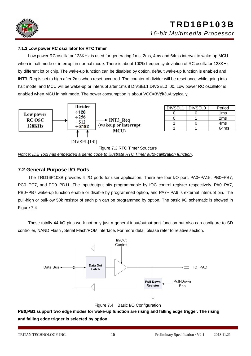

#### **7.1.3 Low power RC oscillator for RTC Timer**

 Low power RC oscillator 128KHz is used for generating 1ms, 2ms, 4ms and 64ms interval to wake-up MCU when in halt mode or interrupt in normal mode. There is about 100% frequency deviation of RC oscillator 128KHz by different lot or chip. The wake-up function can be disabled by option, default wake-up function is enabled and INT3 Req is set to high after 2ms when reset occurred. The counter of divider will be reset once while going into halt mode, and MCU will be wake-up or interrupt after 1ms if DIVSEL1, DIVSEL0=00. Low power RC oscillator is enabled when MCU in halt mode. The power consumption is about VCC=3V@3uA typically.



| DIVSEL1 | <b>DIVSEL0</b> | Period           |
|---------|----------------|------------------|
|         |                | 1ms              |
|         |                | 2 <sub>ms</sub>  |
|         |                | 4 <sub>ms</sub>  |
|         |                | 64 <sub>ms</sub> |

Figure 7.3 RTC Timer Structure *Notice: IDE Tool has embedded a demo code to illustrate RTC Timer auto-calibration function*.

#### **7.2 General Purpose I/O Ports**

The TRD16P103B provides 4 I/O ports for user application. There are four I/O port, PA0~PA15, PB0~PB7, PC0~PC7, and PD0~PD11. The input/output bits programmable by IOC control register respectively. PA0~PA7, PB0~PB7 wake-up function enable or disable by programmed option, and PA7~ PA6 is external interrupt pin. The pull-high or pull-low 50k resistor of each pin can be programmed by option. The basic I/O schematic is showed in Figure 7.4.

 These totally 44 I/O pins work not only just a general input/output port function but also can configure to SD controller, NAND Flash , Serial Flash/ROM interface. For more detail please refer to relative section.



Figure 7.4 Basic I/O Configuration

**PB0,PB1 support two edge modes for wake-up function are rising and falling edge trigger. The rising and falling edge trigger is selected by option.**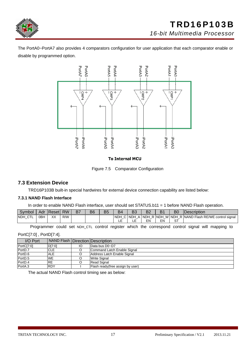

The PortA0~PortA7 also provides 4 comparators configuration for user application that each comparator enable or disable by programmed option.



#### **To Internal MCU**

Figure 7.5 Comparator Configuration

#### **7.3 Extension Device**

TRD16P103B built-in special hardwires for external device connection capability are listed below:

#### **7.3.1 NAND Flash Interface**

In order to enable NAND Flash interface, user should set STATUS.b11 = 1 before NAND Flash operation.

| Svmbol              |                 | Adr   Reset | <b>RW</b> | Β7 | B6 | B5 | B4                        | n o<br>DJ  | ∩ים<br>DZ   | $\mathbf{D}$<br>◡ | B <sub>0</sub> | <b>Description</b>                      |
|---------------------|-----------------|-------------|-----------|----|----|----|---------------------------|------------|-------------|-------------------|----------------|-----------------------------------------|
| ' CTL<br><b>NDH</b> | 0 <sub>BH</sub> | XХ          | R/W       |    |    |    | <b>NDH</b><br>$\sim$<br>◡ | <b>NDH</b> | <b>INDH</b> | R NDH             | _              | W NDH R NAND Flash RE/WE control signal |
|                     |                 |             |           |    |    |    | --                        | --         | EN          | ΕN                | oт<br>ت        |                                         |

Programmer could set NDH\_CTL control register which the correspond control signal will mapping to

PortC[7:0] , PortD[7:4].

| I/O Port   | NAND Flash   Direction   Description |   |                                   |
|------------|--------------------------------------|---|-----------------------------------|
| PortC[7:0] | D[7:0]                               | Ю | Data bus D0~D7                    |
| PortD.7    | CLE                                  |   | Command Latch Enable Signal       |
| PortD.6    | <b>ALE</b>                           |   | Address Latch Enable Signal       |
| PortD.5    | <b>WE</b>                            |   | <b>Write Signal</b>               |
| PortD.4    | <b>RE</b>                            |   | <b>Read Signal</b>                |
| PortA.3    | <b>RDY</b>                           |   | Flash ready (free assign by user) |

The actual NAND Flash control timing see as below: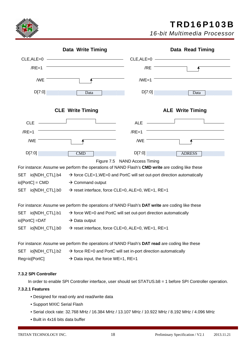

## TRD16P103B

*16-bit Multimedia Processor*

|                         | <b>Data Write Timing</b>                                                                       |                                                                              | <b>Data Read Timing</b>                                                             |
|-------------------------|------------------------------------------------------------------------------------------------|------------------------------------------------------------------------------|-------------------------------------------------------------------------------------|
|                         |                                                                                                |                                                                              | $CLE, ALE=0$ $\longrightarrow$                                                      |
| $/RE=1$                 |                                                                                                | /RE                                                                          |                                                                                     |
|                         |                                                                                                |                                                                              |                                                                                     |
| /WE                     |                                                                                                | $/WE=1$                                                                      |                                                                                     |
| D[7:0]                  | Data                                                                                           | D[7:0]                                                                       | Data                                                                                |
|                         |                                                                                                |                                                                              |                                                                                     |
|                         | <b>CLE Write Timing</b>                                                                        |                                                                              | <b>ALE</b> Write Timing                                                             |
| $CLE$ $\longrightarrow$ |                                                                                                | ALE $\qquad$                                                                 |                                                                                     |
| $/RE=1$                 |                                                                                                | $/RE=1$                                                                      |                                                                                     |
| /WE                     |                                                                                                | /WE                                                                          |                                                                                     |
|                         |                                                                                                |                                                                              |                                                                                     |
| D[7:0]                  | $\overline{\text{CMD}}$                                                                        | D[7:0]                                                                       | <b>ADRESS</b>                                                                       |
|                         |                                                                                                | Figure 7.5 NAND Access Timing                                                |                                                                                     |
| SET io[NDH_CTL].b4      | For instance: Assume we perform the operations of NAND Flash's CMD write are coding like these |                                                                              | $\rightarrow$ force CLE=1, WE=0 and PortC will set out-port direction automatically |
|                         |                                                                                                |                                                                              |                                                                                     |
| $io[PortC] = CMD$       | $\rightarrow$ Command output                                                                   |                                                                              |                                                                                     |
| SET io[NDH_CTL].b0      |                                                                                                | $\rightarrow$ reset interface, force CLE=0, ALE=0, WE=1, RE=1                |                                                                                     |
|                         | For instance: Assume we perform the operations of NAND Flash's DAT write are coding like these |                                                                              |                                                                                     |
| SET io[NDH_CTL].b1      |                                                                                                | $\rightarrow$ force WE=0 and PortC will set out-port direction automatically |                                                                                     |
| io[PortC] =DAT          | $\rightarrow$ Data output                                                                      |                                                                              |                                                                                     |
| SET io[NDH_CTL].b0      |                                                                                                | $\rightarrow$ reset interface, force CLE=0, ALE=0, WE=1, RE=1                |                                                                                     |
|                         | For instance: Assume we perform the operations of NAND Flash's DAT read are coding like these  |                                                                              |                                                                                     |
| SET io[NDH_CTL].b2      |                                                                                                | $\rightarrow$ force RE=0 and PortC will set in-port direction automatically  |                                                                                     |
| Reg=io[PortC]           | $\rightarrow$ Data input, the force WE=1, RE=1                                                 |                                                                              |                                                                                     |
|                         |                                                                                                |                                                                              |                                                                                     |
| 7.3.2 SPI Controller    |                                                                                                |                                                                              |                                                                                     |

In order to enable SPI Controller interface, user should set STATUS.b8 = 1 before SPI Controller operation.

#### **7.3.2.1 Features**

- Designed for read-only and read/write data
- Support MXIC Serial Flash
- Serial clock rate: 32.768 MHz / 16.384 MHz / 13.107 MHz / 10.922 MHz / 8.192 MHz / 4.096 MHz
- Built in 4x16 bits data buffer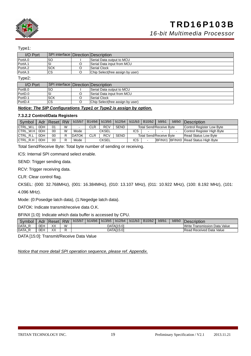

*16-bit Multimedia Processor*

#### Type1:

| I/O Port | SPI interface   Direction   Description |                                  |
|----------|-----------------------------------------|----------------------------------|
| PortA.0  | lsc                                     | Serial Data output to MCU        |
| PortA.1  | SI                                      | Serial Data input from MCU       |
| PortA.2  | <b>SCK</b>                              | Serial Clock                     |
| PortA.3  | <b>CS</b>                               | Chip Select(free assign by user) |

Type2:

| I/O Port | SPI interface   Direction   Description / |                                   |
|----------|-------------------------------------------|-----------------------------------|
| PortB.0  | <b>SC</b>                                 | Serial Data output to MCU         |
| PortD.0  | SI                                        | Serial Data input from MCU        |
| PortD.1  | <b>SCK</b>                                | Serial Clock                      |
| PortD.4  | re<br>ט ו                                 | Chip Select (free assign by user) |

#### *Notice: The SIP Configurations Type1 or Type2 is assign by option.*

#### **7.3.2.2 Control/Data Registers**

| Symbol            |                 |    |    | Adr Reset RW   b15/b7   B14/b6   b13/b5   b12/b4   b11/b3 |      |              |             |            | B <sub>10</sub> /b <sub>2</sub> | b9/b1                          | b8/b0 | Description                         |
|-------------------|-----------------|----|----|-----------------------------------------------------------|------|--------------|-------------|------------|---------------------------------|--------------------------------|-------|-------------------------------------|
| <b>ICTRL W.L</b>  | 0 <sub>DH</sub> | 01 | W  |                                                           | CLR  | <b>RCV</b>   | <b>SEND</b> |            |                                 | Total Send/Receive Byte        |       | Control Register Low Byte           |
| <b>ICTRL W.H</b>  | 0DH             | 00 | W  | Mode                                                      |      | <b>CKSEL</b> |             | <b>ICS</b> |                                 |                                |       | Control Register High Byte          |
| <b>CTRL R.L</b>   | 0 <sub>DH</sub> | 00 | רו | <b>DATOK</b>                                              | CLR. | <b>RCV</b>   | <b>SEND</b> |            |                                 | <b>Total Send/Receive Byte</b> |       | <b>Read Status Low Byte</b>         |
| <b>ICTRL R.H.</b> | 0 <sub>DH</sub> | 00 | ⋼  | Mode                                                      |      | <b>CKSEL</b> |             | ICS        |                                 |                                |       | BFINX1 BFINX0 Read Status High Byte |

Total Send/Receive Byte: Total byte number of sending or receiving.

ICS: Internal SPI command select enable.

SEND: Trigger sending data.

RCV: Trigger receiving data.

CLR: Clear control flag.

CKSEL: (000: 32.768MHz), (001: 16.384MHz), (010: 13.107 MHz), (011: 10.922 MHz), (100: 8.192 MHz), (101:

4.096 MHz).

Mode: (0:Posedge latch data), (1:Negedge latch data).

DATOK: Indicate transmit/receive data O.K.

BFINX [1:0]: Indicate which data buffer is accessed by CPU.

| Symbol             | Adr <sup>7</sup> | <b>Reset</b> | <b>RW</b> | b15/b7 | b14/b6 | b13/b5 | b12/b4     | $b11/b3$ B10/b2 | b9/b1 | b8/b0 | <i><b>IDescription</b></i>         |
|--------------------|------------------|--------------|-----------|--------|--------|--------|------------|-----------------|-------|-------|------------------------------------|
| <b>DATA</b><br>– m | 0EH              | XX           | W         |        |        |        | DATA[15:0] |                 |       |       | e Transmission Data Value<br>Write |
| <b>DATA</b>        | 0EH              | XX           |           |        |        |        | DATA[15:0] |                 |       |       | Read Received Data Value           |

DATA [15:0]: Transmit/Receive Data Value

*Notice that more detail SPI operation sequence, please ref. Appendix.*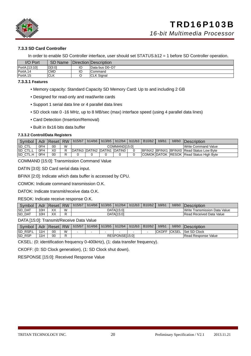

#### **7.3.3 SD Card Controller**

In order to enable SD Controller interface, user should set STATUS.b12 = 1 before SD Controller operation.

| I/O Port      | <b>SD Name</b> |    | Direction  Description |
|---------------|----------------|----|------------------------|
| PortA.[13:10] | D[3:0]         | IО | Data bus D0~D7         |
| PortA.14      | <b>CMD</b>     | IО | Command                |
| PortA.15      | <b>CLK</b>     |    | <b>CLK Signal</b>      |

#### **7.3.3.1 Features**

- Memory capacity: Standard Capacity SD Memory Card: Up to and including 2 GB
- Designed for read-only and read/write cards
- Support 1 serial data line or 4 parallel data lines
- SD clock rate 0 -16 MHz, up to 8 MB/sec (max) interface speed (using 4 parallel data lines)
- Card Detection (Insertion/Removal)
- Built in 8x16 bits data buffer

#### **7.3.3.2 Control/Data Registers**

| Symbol           |     | Adr   Reset   RW |   | b15/b7 |                             | $\vert$ b14/b6   b13/b5   b12/b4 | b11/b3 | B <sub>10</sub> /b <sub>2</sub> | b9/b1 | b8/b0 | <b>IDescription</b>                               |
|------------------|-----|------------------|---|--------|-----------------------------|----------------------------------|--------|---------------------------------|-------|-------|---------------------------------------------------|
| <b>SD CTL</b>    | 0FH | 00               | W |        |                             | COMMAND[15:0]                    |        |                                 |       |       | Write Command Value                               |
| <b>SD CTL.L</b>  | 0FH | X0               | D |        | DATIN3 DATIN2 DATIN1 DATIN0 |                                  |        |                                 |       |       | <b>IBFINX2 BFINX1 BFINX0 Read Status Low Byte</b> |
| <b>ISD CTL.H</b> | 0FH | 00               |   |        |                             |                                  |        |                                 |       |       | COMOK DATOK RESOK Read Status High Byte           |

COMMAND [15:0]: Transmission Command Value

DATIN [3:0]: SD Card serial data input.

BFINX [2:0]: Indicate which data buffer is accessed by CPU.

COMOK: Indicate command transmission O.K.

DATOK: Indicate transmit/receive data O.K.

RESOK: Indicate receive response O.K.

| Symbol        | Adr             | "Reseti | <b>RW</b> | b15/b7 | b14/b6 | b13/b5 | b12/b4     | b11/b3 | B10/b2 | b9/b1 | b8/b0 | <i><b>Description</b></i>        |
|---------------|-----------------|---------|-----------|--------|--------|--------|------------|--------|--------|-------|-------|----------------------------------|
| <b>SD DAT</b> | I0⊦             | XX      | W         |        |        |        | DATA[15:0] |        |        |       |       | Data Value<br>Write Transmission |
| <b>SD DAT</b> | 10 <sub>h</sub> | XX      |           |        |        |        | DATA[15:0] |        |        |       |       | <b>Read Received Data Value</b>  |

DATA [15:0]: Transmit/Receive Data Value

| Symbol        |     | Adr  Reset | <b>RW</b> | b15/b7 | b14/b6   b13/b5   b12/b4 |                | b11/b3 | B <sub>10</sub> /b <sub>2</sub> | b9/b1        | b8/b0   | Description         |
|---------------|-----|------------|-----------|--------|--------------------------|----------------|--------|---------------------------------|--------------|---------|---------------------|
| RSP.L<br>ISD. | 11H | 00         | W         |        |                          |                |        |                                 | <b>CKOFF</b> | `ICKSEL | Set SD Clock        |
| <b>SD RSP</b> | 11H | 00         |           |        |                          | RESPONSEI15:01 |        |                                 |              |         | Read Response Value |

CKSEL: (0: identification frequency 0-400kHz), (1: data transfer frequency).

CKOFF: (0: SD Clock generation), (1: SD Clock shut down).

RESPONSE [15:0]: Received Response Value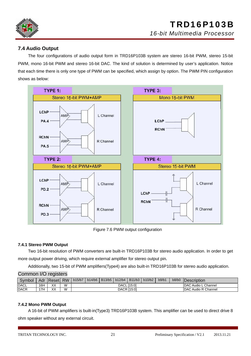

#### **7.4 Audio Output**

 The four configurations of audio output form in TRD16P103B system are stereo 16-bit PWM, stereo 15-bit PWM, mono 16-bit PWM and stereo 16-bit DAC. The kind of solution is determined by user's application. Notice that each time there is only one type of PWM can be specified, which assign by option. The PWM PIN configuration shows as below:



Figure 7.6 PWM output configuration

#### **7.4.1 Stereo PWM Output**

Two 16-bit resolution of PWM converters are built-in TRD16P103B for stereo audio application. In order to get more output power driving, which require external amplifier for stereo output pin**.**

Additionally, two 15-bit of PWM amplifiers(Type4) are also built-in TRD16P103B for stereo audio application.

#### Common I/O registers

| Symbol      |     | Adr   Reset   RW |   | b15/b7 | b14/b6 | B <sub>13</sub> /b <sub>5</sub> | b12/b4       | B <sub>11</sub> /b <sub>3</sub> | b10/b2 | b9/b1 | b8/b0 | <b>IDescription</b>         |
|-------------|-----|------------------|---|--------|--------|---------------------------------|--------------|---------------------------------|--------|-------|-------|-----------------------------|
| <b>DACL</b> | 16H | XX               | W |        |        |                                 | <b>DACLI</b> | [15:0]                          |        |       |       | <b>IDAC Audio L Channel</b> |
| <b>DACR</b> | 17H | XX               | W |        |        |                                 |              | DACR [15:0]                     |        |       |       | <b>DAC Audio R Channel</b>  |

#### **7.4.2 Mono PWM Output**

A 16-bit of PWM amplifiers is built-in(Type3) TRD16P103B system. This amplifier can be used to direct drive 8 ohm speaker without any external circuit.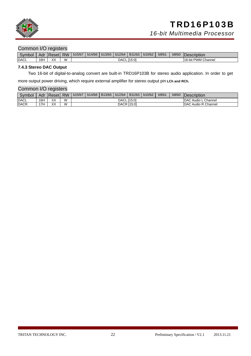

#### Common I/O registers

| Symbol      | Adr | Resetl | <b>RW</b> | b15/b7 | b14/b6 | $\vert$ b13/b5 | b12/b4 | $\vert$ B <sub>11</sub> /b <sub>3</sub> $\vert$ | b10/b2 | b9/b1 | b8/b0 | Description                        |
|-------------|-----|--------|-----------|--------|--------|----------------|--------|-------------------------------------------------|--------|-------|-------|------------------------------------|
| <b>DACL</b> | 16H | XX     | M         |        |        |                | DACL I | . [15:0]                                        |        |       |       | <sup>1</sup> Channel<br>16-bit PWM |

#### **7.4.3 Stereo DAC Output**

Two 16-bit of digital-to-analog convert are built-in TRD16P103B for stereo audio application. In order to get

more output power driving, which require external amplifier for stereo output pin **LCh and RCh.**

#### Common I/O registers

| Symbol      | Adr | <b>Reset</b> | <b>RW</b> | b15/b7 | b14/b6 | B13/b5 | b12/b4 | B11/b3 | b10/b2 | b9/b1 | b8/b0 | Description                 |
|-------------|-----|--------------|-----------|--------|--------|--------|--------|--------|--------|-------|-------|-----------------------------|
| <b>DACL</b> | 16H | XX           | W         |        |        |        | DACL I | [15:0] |        |       |       | <b>IDAC Audio L Channel</b> |
| <b>DACR</b> | '7H | XX           | W         |        |        |        | DACR   | 115:01 |        |       |       | <b>DAC Audio R Channel</b>  |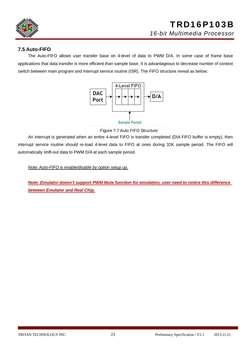

#### **7.5 Auto-FIFO**

The Auto-FIFO allows user transfer base on 4-level of data to PWM D/A. In some case of frame base applications that data transfer is more efficient than sample base. It is advantageous to decrease number of context switch between main program and interrupt service routine (ISR). The FIFO structure reveal as below:



Figure 7.7 Auto FIFO Structure

An interrupt is generated when an entire 4-level FIFO is transfer completed (D\A FIFO buffer is empty), then interrupt service routine should re-load 4-level data to FIFO at ones during 32K sample period. The FIFO will automatically shift-out data to PWM D/A at each sample period.

*Note: Auto-FIFO is enable/disable by option setup up.*

*Note: Emulator doesn't support PWM Mute function for emulation, user need to notice this difference between Emulator and Real Chip.*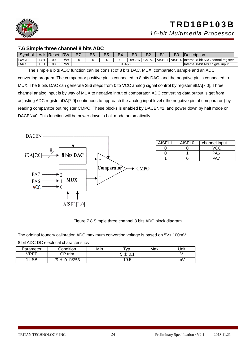

#### **7.6 Simple three channel 8 bits ADC**

| Symbol        | Adr <sup>-</sup> | <b>Reset</b> | <b>RW</b> | B7 | B6 | B5 | B4 | B <sub>3</sub> | B <sub>2</sub> |        | B0 | Description                                |
|---------------|------------------|--------------|-----------|----|----|----|----|----------------|----------------|--------|----|--------------------------------------------|
| <b>IDACTL</b> | 4H               | 00           | R/W       |    |    |    |    | <b>DACEN</b>   | <b>CMPC</b>    | AISEL1 |    | AISEL0 Internal 8-bit ADC control register |
| <b>iDAC</b>   | 15H              | 00           | R/W       |    |    |    |    | iDAI7:01       |                |        |    | Internal 8-bit ADC digital input           |

 The simple 8 bits ADC function can be consist of 8 bits DAC, MUX, comparator, sample and an ADC converting program. The comparator positive pin is connected to 8 bits DAC, and the negative pin is connected to MUX. The 8 bits DAC can generate 256 steps from 0 to VCC analog signal control by register i8DA[7:0], Three channel analog input is by way of MUX to negative input of comparator. ADC converting data output is get from adjusting ADC register iDA[7:0] continuous to approach the analog input level ( the negative pin of comparator ) by reading comparator out register CMPO. These blocks is enabled by DACEN=1, and power down by halt mode or DACEN=0. This function will be power down in halt mode automatically.



| AISEL1 | AISEL0 | channel input |
|--------|--------|---------------|
|        |        | VCC           |
|        |        | PA6           |
|        |        |               |

Figure 7.8 Simple three channel 8 bits ADC block diagram

The original foundry calibration ADC maximum converting voltage is based on 5V± 100mV.

8 bit ADC DC electrical characteristics

| Parameter | Condition         | Min. | Tур. | Max | Unit |
|-----------|-------------------|------|------|-----|------|
| VREF      | $\mathsf{P}$ trim |      |      |     |      |
| LSB       | $(5 \pm 0.1)/256$ |      | 19.5 |     | mV   |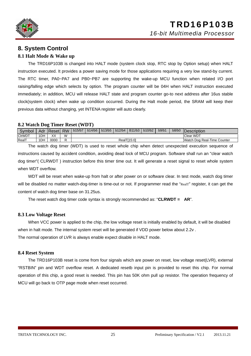

### **8. System Control**

#### **8.1 Halt Mode & Wake up**

 The TRD16P103B is changed into HALT mode (system clock stop, RTC stop by Option setup) when HALT instruction executed. It provides a power saving mode for those applications requiring a very low stand-by current. The RTC timer, PA0~PA7 and PB0~PB7 are supporting the wake-up MCU function when related I/O port raising/falling edge which selects by option. The program counter will be 04H when HALT instruction executed immediately; in addition, MCU will release HALT state and program counter go-to next address after 16us stable clock(system clock) when wake up condition occurred. During the Halt mode period, the SRAM will keep their previous data without changing, yet INTENA register will auto clearly.

#### **8.2 Watch Dog Timer Reset (WDT)**

| Symbol        |     | Adr Reset        | <b>RW</b> | b15/b7 | b14/b6 | b13/b5 | b12/b4 | B11/b3      | b10/b2 | b9/b1 | b8/b0 | Description                 |
|---------------|-----|------------------|-----------|--------|--------|--------|--------|-------------|--------|-------|-------|-----------------------------|
| <b>CIrWDT</b> | 1DH | $\vee\vee$<br>ᄾᄉ | W         |        |        |        |        |             |        |       |       | <b>Clear WDT</b>            |
| RealT         | 1DH | 0000             | ∽         |        |        |        |        | RealT[15:0] |        |       |       | Watch Dog Real-Time Counter |

The watch dog timer (WDT) is used to reset whole chip when detect unexpected execution sequence of instructions caused by accident condition, avoiding dead lock of MCU program. Software shall run an "clear watch dog timer"( CLRWDT ) instruction before this timer time out. It will generate a reset signal to reset whole system when WDT overflow.

WDT will be reset when wake-up from halt or after power on or software clear. In test mode, watch dog timer will be disabled no matter watch-dog-timer is time-out or not. If programmer read the "RealT" register, it can get the content of watch dog timer base on 31.25us.

The reset watch dog timer code syntax is strongly recommended as: "**CLRWDT = AR**".

#### **8.3 Low Voltage Reset**

 When VCC power is applied to the chip, the low voltage reset is initially enabled by default, it will be disabled when in halt mode. The internal system reset will be generated if VDD power below about 2.2v . The normal operation of LVR is always enable expect disable in HALT mode.

#### **8.4 Reset System**

The TRD16P103B reset is come from four signals which are power on reset, low voltage reset(LVR), external "RSTBIN" pin and WDT overflow reset. A dedicated resetb input pin is provided to reset this chip. For normal operation of this chip, a good reset is needed. This pin has 50K ohm pull up resistor. The operation frequency of MCU will go back to OTP page mode when reset occurred.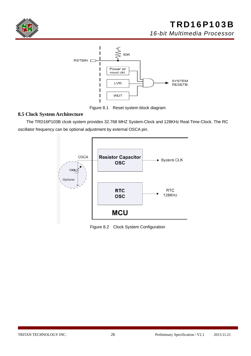



Figure 8.1 Reset system block diagram

#### **8.5 Clock System Architecture**

The TRD16P103B clcok system provides 32.768 MHZ System-Clock and 128KHz Real-Time-Clock. The RC oscillator frequency can be optional adjustment by external OSCA pin.



Figure 8.2 Clock System Configuration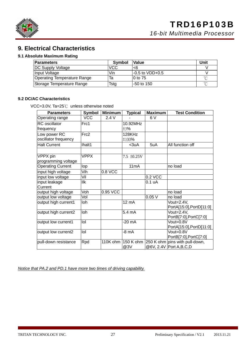

### **9. Electrical Characteristics**

#### **9.1 Absolute Maximum Rating**

| <b>Parameters</b>           | <b>Symbol</b> | <b>Value</b>     | Unit    |
|-----------------------------|---------------|------------------|---------|
| <b>DC Supply Voltage</b>    | VCC           | <6               |         |
| Input Voltage               | Vin           | l-0.5 to VDD+0.5 |         |
| Operating Temperature Range | Та            | $10$ to 75       | $\sim$  |
| Storage Temperature Range   | Tstg          | -50 to 150       | $\circ$ |

#### **9.2 DC/AC Characteristics**

VCC=3.0V, Ta=25℃ unless otherwise noted

| <b>Parameters</b>                               | <b>Symbol</b> | <b>Minimum</b> | <b>Typical</b>    | <b>Maximum</b> | <b>Test Condition</b>                                                   |
|-------------------------------------------------|---------------|----------------|-------------------|----------------|-------------------------------------------------------------------------|
| Operating range                                 | <b>VCC</b>    | 2.4V           |                   | 6 V            |                                                                         |
| <b>RC</b> oscillator                            | Frc1          |                | 10.92MHz          |                |                                                                         |
| frequency                                       |               |                | ±3%               |                |                                                                         |
| Low power RC                                    | Frc2          |                | 128KHz            |                |                                                                         |
| oscillator frequency                            |               |                | ±100%             |                |                                                                         |
| <b>Halt Current</b>                             | Ihalt1        |                | $3uA$             | 5uA            | All function off                                                        |
| VPPX pin                                        | <b>VPPX</b>   |                | $7.5 \pm 0.25V$   |                |                                                                         |
| programming voltage<br><b>Operating Current</b> | lop           |                | 11 <sub>m</sub> A |                | no load                                                                 |
|                                                 |               |                |                   |                |                                                                         |
| input high voltage                              | Vih           | $0.8$ VCC      |                   |                |                                                                         |
| input low voltage                               | Vil           |                |                   | 0.2 VCC        |                                                                         |
| input leakage<br>Current                        | llk           |                |                   | 0.1 uA         |                                                                         |
| output high voltage                             | Voh           | 0.95 VCC       |                   |                | no load                                                                 |
| output low voltage                              | Vol           |                |                   | 0.05V          | no load                                                                 |
| output high current1                            | Ioh           |                | 12 mA             |                | Vout=2.4V,<br>PortA[15:0], PortD[11:0]                                  |
| output high current2                            | Ioh           |                | 5.4 mA            |                | Vout=2.4V,<br>PortB[7:0], PortC[7:0]                                    |
| output low current1                             | lol           |                | -20 mA            |                | Vout=0.8V<br>PortA[15:0], PortD[11:0]                                   |
| output low current2                             | $I$ ol        |                | -8 mA             |                | Vout=0.8V<br>PortB[7:0], PortC[7:0]                                     |
| pull-down resistance                            | Rpd           | 110K ohm       | @3V               |                | 150 K ohm 250 K ohm pins with pull-down,<br>@6V, 2.4V   Port A, B, C, D |

*Notice that PA.2 and PD.1 have more two times of driving capability.*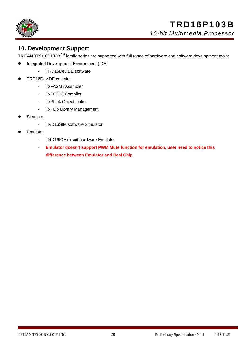

### **10. Development Support**

**TRITAN** TRD16P103B TM family series are supported with full range of hardware and software development tools:

- **•** Integrated Development Environment (IDE)
	- TRD16DevIDE software
- z TRD16DevIDE contains
	- TxPASM Assembler
	- TxPCC C Compiler
	- TxPLink Object Linker
	- TxPLib Library Management
- Simulator
	- TRD16SIM software Simulator
- **Emulator** 
	- TRD16ICE circuit hardware Emulator
	- **Emulator doesn't support PWM Mute function for emulation, user need to notice this difference between Emulator and Real Chip**.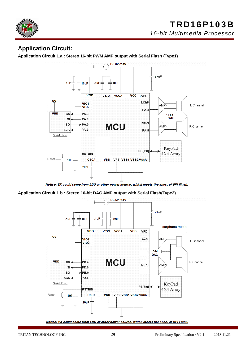

### **Application Circuit:**

**Application Circuit 1.a : Stereo 16-bit PWM AMP output with Serial Flash (Type1)**



Notice: VX could come from LDO or other power source, which meets the spec. of SPI Flash.

**Application Circuit 1.b : Stereo 16-bit DAC AMP output with Serial Flash(Type2)** 



Notice: VX could come from LDO or other power source, which meets the spec. of SPI Flash.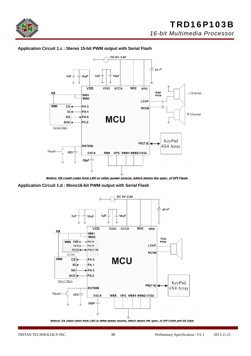



#### **Application Circuit 1.c : Stereo 15-bit PWM output with Serial Flash**

Notice: VX could come from LDO or other power source, which meets the spec. of SPI Flash.

**Application Circuit 1.d : Mono16-bit PWM output with Serial Flash** 



Notice: VX could come from LDO or other power source, which meets the spec. of SPI Flash and SD Card.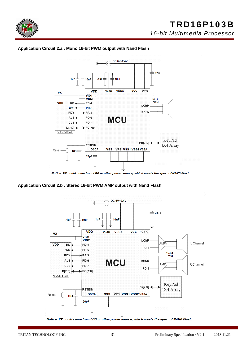





**Application Circuit 2.b : Stereo 16-bit PWM AMP output with Nand Flash** 



Notice: VX could come from LDO or other power source, which meets the spec. of NAND Flash.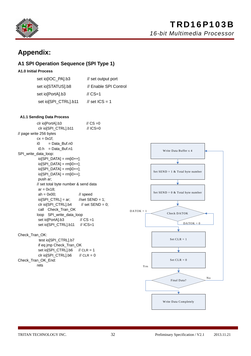

## **Appendix:**

#### **A1 SPI Operation Sequence (SPI Type 1)**

#### **A1.0 Initial Process**

| set io[IOC_PA].b3    | // set output port         |
|----------------------|----------------------------|
| set io[STATUS].b8    | // Enable SPI Control      |
| set io[PortA].b3     | $\text{/}$ / $\text{CS}=1$ |
| set io[SPI_CTRL].b11 | // set ICS = 1             |

#### **A1.1 Sending Data Process**





rets

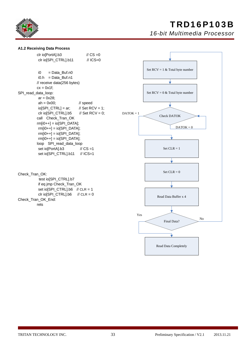

## TRD16P103B

*16-bit Multimedia Processor*